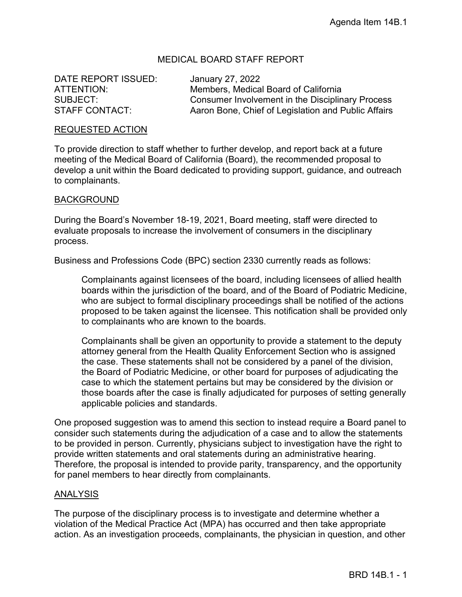# MEDICAL BOARD STAFF REPORT

DATE REPORT ISSUED: January 27, 2022

ATTENTION: Members, Medical Board of California SUBJECT: Consumer Involvement in the Disciplinary Process STAFF CONTACT: Aaron Bone, Chief of Legislation and Public Affairs

### REQUESTED ACTION

To provide direction to staff whether to further develop, and report back at a future meeting of the Medical Board of California (Board), the recommended proposal to develop a unit within the Board dedicated to providing support, guidance, and outreach to complainants.

#### BACKGROUND

During the Board's November 18-19, 2021, Board meeting, staff were directed to evaluate proposals to increase the involvement of consumers in the disciplinary process.

Business and Professions Code (BPC) section 2330 currently reads as follows:

Complainants against licensees of the board, including licensees of allied health boards within the jurisdiction of the board, and of the Board of Podiatric Medicine, who are subject to formal disciplinary proceedings shall be notified of the actions proposed to be taken against the licensee. This notification shall be provided only to complainants who are known to the boards.

Complainants shall be given an opportunity to provide a statement to the deputy attorney general from the Health Quality Enforcement Section who is assigned the case. These statements shall not be considered by a panel of the division, the Board of Podiatric Medicine, or other board for purposes of adjudicating the case to which the statement pertains but may be considered by the division or those boards after the case is finally adjudicated for purposes of setting generally applicable policies and standards.

One proposed suggestion was to amend this section to instead require a Board panel to consider such statements during the adjudication of a case and to allow the statements to be provided in person. Currently, physicians subject to investigation have the right to provide written statements and oral statements during an administrative hearing. Therefore, the proposal is intended to provide parity, transparency, and the opportunity for panel members to hear directly from complainants.

### ANALYSIS

The purpose of the disciplinary process is to investigate and determine whether a violation of the Medical Practice Act (MPA) has occurred and then take appropriate action. As an investigation proceeds, complainants, the physician in question, and other